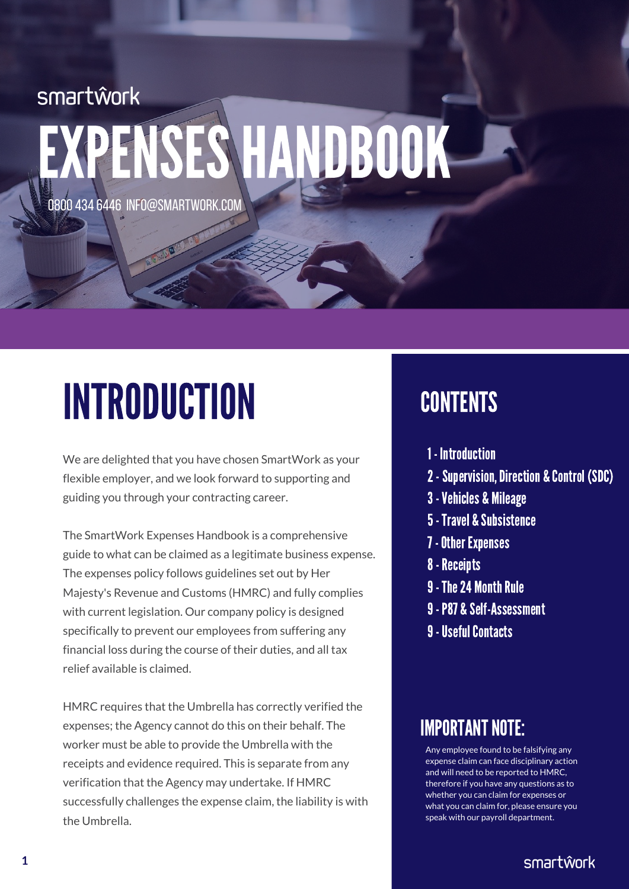# smartŵork EXPENSESHANDBOOK

0800 434 6446 INFO@SMARTWORK.COM

# **INTRODUCTION**

We are delighted that you have chosen SmartWork as your flexible employer, and we look forward to supporting and guiding you through your contracting career.

The SmartWork Expenses Handbook is a comprehensive guide to what can be claimed as a legitimate business expense. The expenses policy follows guidelines set out by Her Majesty's Revenue and Customs (HMRC) and fully complies with current legislation. Our company policy is designed specifically to prevent our employees from suffering any financial loss during the course of their duties, and all tax relief available is claimed.

HMRC requires that the Umbrella has correctly verified the expenses; the Agency cannot do this on their behalf. The worker must be able to provide the Umbrella with the receipts and evidence required. This is separate from any verification that the Agency may undertake. If HMRC successfully challenges the expense claim, the liability is with the Umbrella.

### **CONTENTS**

- 1 Introduction
- 2 Supervision, Direction & Control (SDC)
- 3-Vehicles & Mileage
- 5-Travel & Subsistence
- **7 Other Expenses**
- 8-Receipts
- 9 The 24 Month Rule
- 9-P87 & Self-Assessment
- **9 Useful Contacts**

### **IMPORTANT NOTE:**

Any employee found to be falsifying any expense claim can face disciplinary action and will need to be reported to HMRC, therefore if you have any questions as to whether you can claim for expenses or what you can claim for, please ensure you speak with our payroll department.

smartŵork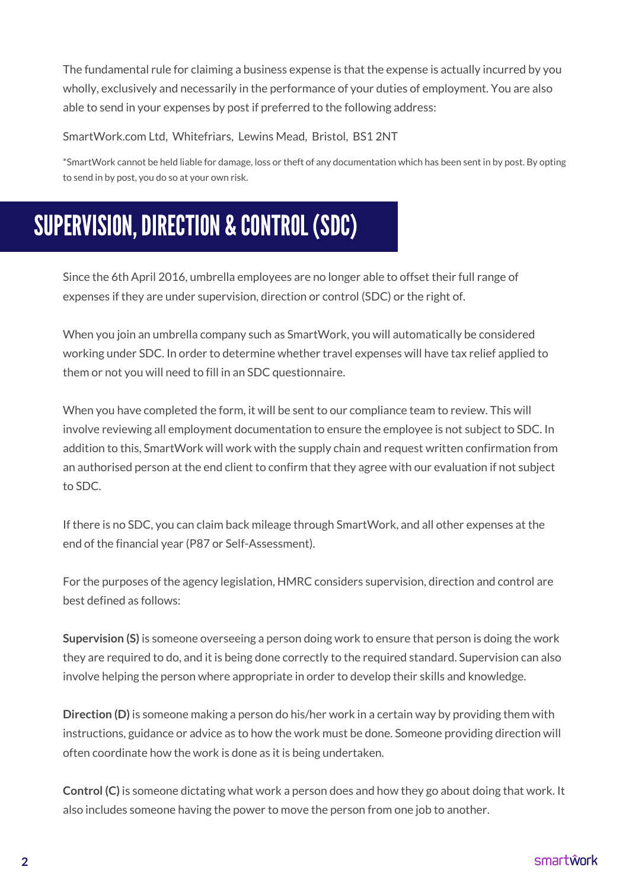The fundamental rule for claiming a business expense is that the expense is actually incurred by you wholly, exclusively and necessarily in the performance of your duties of employment. You are also able to send in your expenses by post if preferred to the following address:

SmartWork.com Ltd, Whitefriars, Lewins Mead, Bristol, BS1 2NT

\*SmartWork cannot be held liable for damage, loss or theft of any documentation which has been sent in by post. By opting to send in by post, you do so at your own risk.

# SUPERVISION, DIRECTION & CONTROL (SDC)

Since the 6th April 2016, umbrella employees are no longer able to offset their full range of expenses if they are under supervision, direction or control (SDC) or the right of.

When you join an umbrella company such as SmartWork, you will automatically be considered working under SDC. In order to determine whether travel expenses will have tax relief applied to them or not you will need to fill in an SDC questionnaire.

When you have completed the form, it will be sent to our compliance team to review. This will involve reviewing all employment documentation to ensure the employee is not subject to SDC. In addition to this, SmartWork will work with the supply chain and request written confirmation from an authorised person at the end client to confirm that they agree with our evaluation if not subject to SDC.

If there is no SDC, you can claim back mileage through SmartWork, and all other expenses at the end of the financial year (P87 or [Self-Assessment\).](https://registration.smartwork.com/)

For the purposes of the agency legislation, HMRC considers supervision, direction and control are best defined as follows:

**Supervision (S)** is someone overseeing a person doing work to ensure that person is doing the work they are required to do, and it is being done correctly to the required standard. Supervision can also involve helping the person where appropriate in order to develop their skills and knowledge.

**Direction (D)** is someone making a person do his/her work in a certain way by providing them with instructions, guidance or advice as to how the work must be done. Someone providing direction will often coordinate how the work is done as it is being undertaken.

**Control (C)** is someone dictating what work a person does and how they go about doing that work. It also includes someone having the power to move the person from one job to another.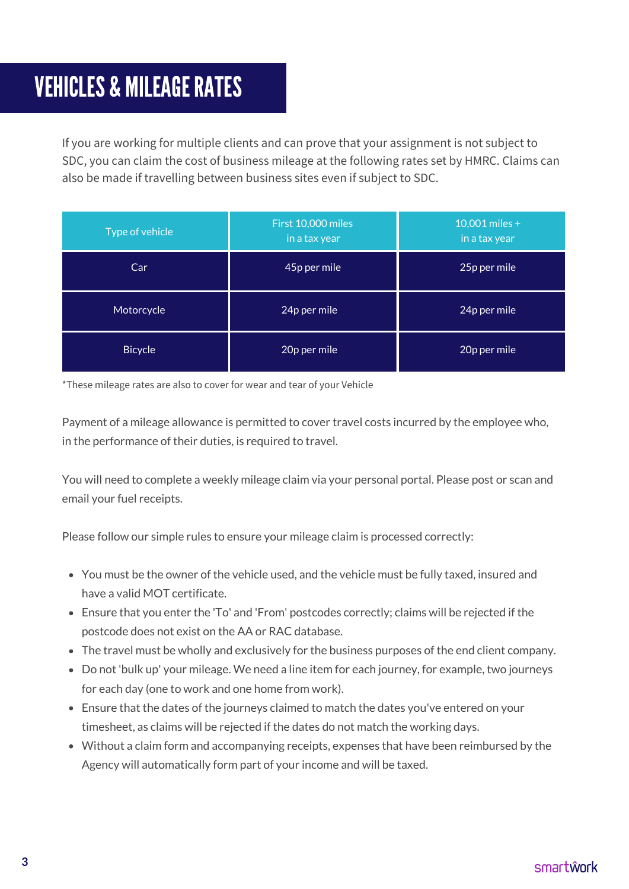### **VEHICLES & MILEAGE RATES**

If you are working for multiple clients and can prove that your assignment is not subject to SDC, you can claim the cost of business mileage at the following rates set by HMRC. Claims can also be made if travelling between business sites even if subject to SDC.

| Type of vehicle | First 10,000 miles<br>in a tax year | 10,001 miles +<br>in a tax year |
|-----------------|-------------------------------------|---------------------------------|
| Car             | 45p per mile                        | 25p per mile                    |
| Motorcycle      | 24p per mile                        | 24p per mile                    |
| <b>Bicycle</b>  | 20p per mile                        | 20p per mile                    |

\*These mileage rates are also to cover for wear and tear of your Vehicle

Payment of a mileage allowance is permitted to cover travel costs incurred by the employee who, in the performance of their duties, is required to travel.

You will need to complete a weekly mileage claim via your personal portal. Please post or scan and email your fuel receipts.

Please follow our simple rules to ensure your mileage claim is processed correctly:

- You must be the owner of the vehicle used, and the vehicle must be fully taxed, insured and have a valid MOT certificate.
- Ensure that you enter the 'To' and 'From' postcodes correctly; claims will be rejected if the postcode does not exist on the AA or RAC database.
- The travel must be wholly and exclusively for the business purposes of the end client company.
- Do not 'bulk up' your mileage. We need a line item for each journey, for example, two journeys for each day (one to work and one home from work).
- Ensure that the dates of the journeys claimed to match the dates you've entered on your timesheet, as claims will be rejected if the dates do not match the working days.
- Without a claim form and accompanying receipts, expenses that have been reimbursed by the Agency will automatically form part of your income and will be taxed.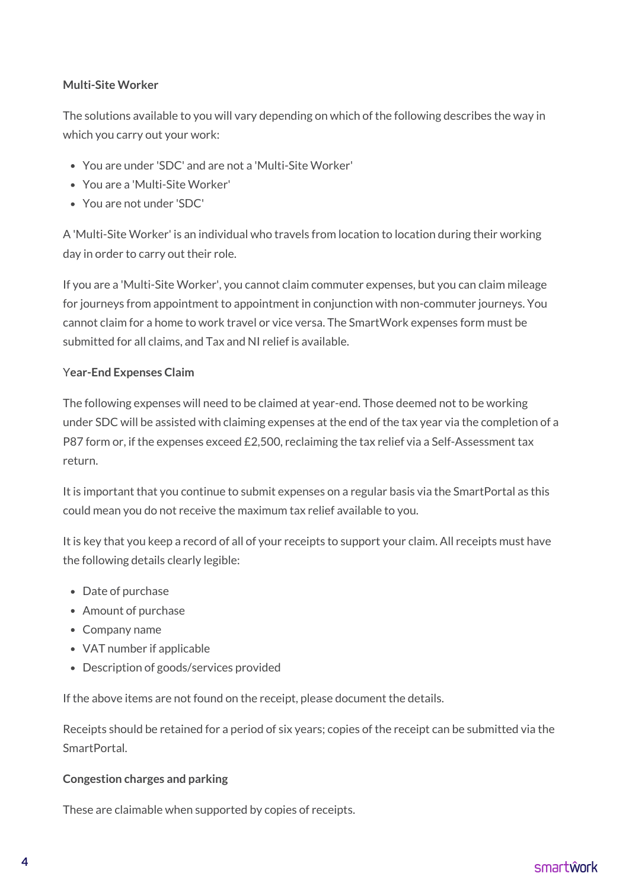#### **Multi-Site Worker**

The solutions available to you will vary depending on which of the following describes the way in which you carry out your work:

- You are under 'SDC' and are not a 'Multi-Site Worker'
- You are a 'Multi-Site Worker'
- You are not under 'SDC'

A 'Multi-Site Worker' is an individual who travels from location to location during their working day in order to carry out their role.

If you are a 'Multi-Site Worker', you cannot claim commuter expenses, but you can claim mileage for journeys from appointment to appointment in conjunction with non-commuter journeys. You cannot claim for a home to work travel or vice versa. The SmartWork expenses form must be submitted for all claims, and Tax and NI relief is available.

#### Y**ear-End Expenses Claim**

The following expenses will need to be claimed at year-end. Those deemed not to be working under SDC will be assisted with claiming expenses at the end of the tax year via the completion of a P87 form or, if the expenses exceed £2,500, reclaiming the tax relief via a Self-Assessment tax return.

It is important that you continue to submit expenses on a regular basis via the SmartPortal as this could mean you do not receive the maximum tax relief available to you.

It is key that you keep a record of all of your receipts to support your claim. All receipts must have the following details clearly legible:

- Date of purchase
- Amount of purchase
- Company name
- VAT number if applicable
- Description of goods/services provided

If the above items are not found on the receipt, please document the details.

Receipts should be retained for a period of six years; copies of the receipt can be submitted via the SmartPortal.

#### **Congestion charges and parking**

These are claimable when supported by copies of receipts.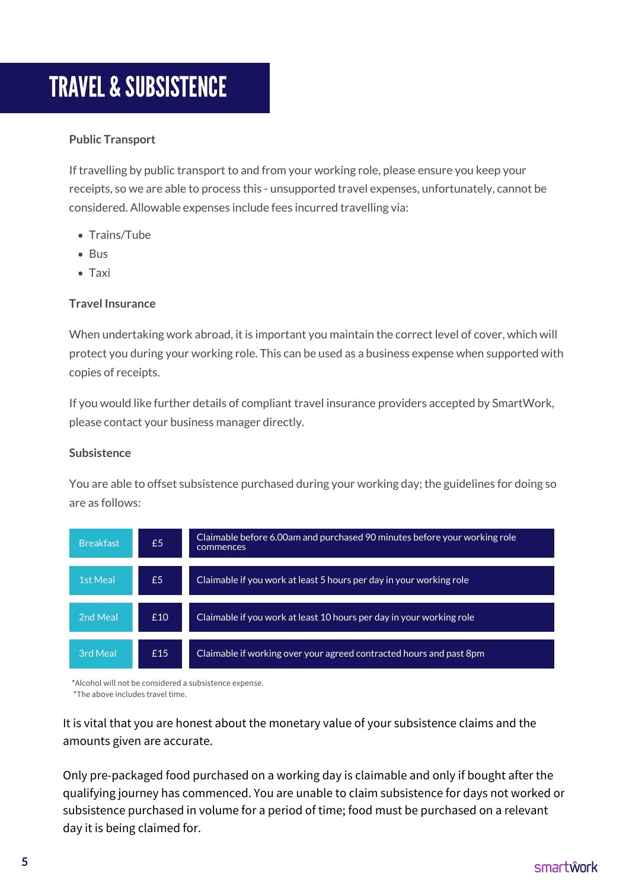### TRAVEL & SUBSISTENCE

#### **Public Transport**

If travelling by public transport to and from your working role, please ensure you keep your receipts, so we are able to process this - unsupported travel expenses, unfortunately, cannot be considered. Allowable expenses include fees incurred travelling via:

- Trains/Tube
- Bus
- Taxi

#### **Travel Insurance**

When undertaking work abroad, it is important you maintain the correct level of cover, which will protect you during your working role. This can be used as a business expense when supported with copies of receipts.

If you would like further details of compliant travel insurance providers accepted by SmartWork, please contact your business manager directly.

#### **Subsistence**

You are able to offset subsistence purchased during your working day; the guidelines for doing so are as follows:

| <b>Breakfast</b> | £5  | Claimable before 6.00am and purchased 90 minutes before your working role<br>commences |
|------------------|-----|----------------------------------------------------------------------------------------|
| <b>1st Meal</b>  | £5  | Claimable if you work at least 5 hours per day in your working role                    |
| 2nd Meal         | £10 | Claimable if you work at least 10 hours per day in your working role                   |
| 3rd Meal         | £15 | Claimable if working over your agreed contracted hours and past 8pm                    |

\*Alcohol will not be considered a subsistence expense.

\*The above includes travel time.

It is vital that you are honest about the monetary value of your subsistence claims and the amounts given are accurate.

Only pre-packaged food purchased on a working day is claimable and only if bought after the qualifying journey has commenced. You are unable to claim subsistence for days not worked or subsistence purchased in volume for a period of time; food must be purchased on a relevant day it is being claimed for.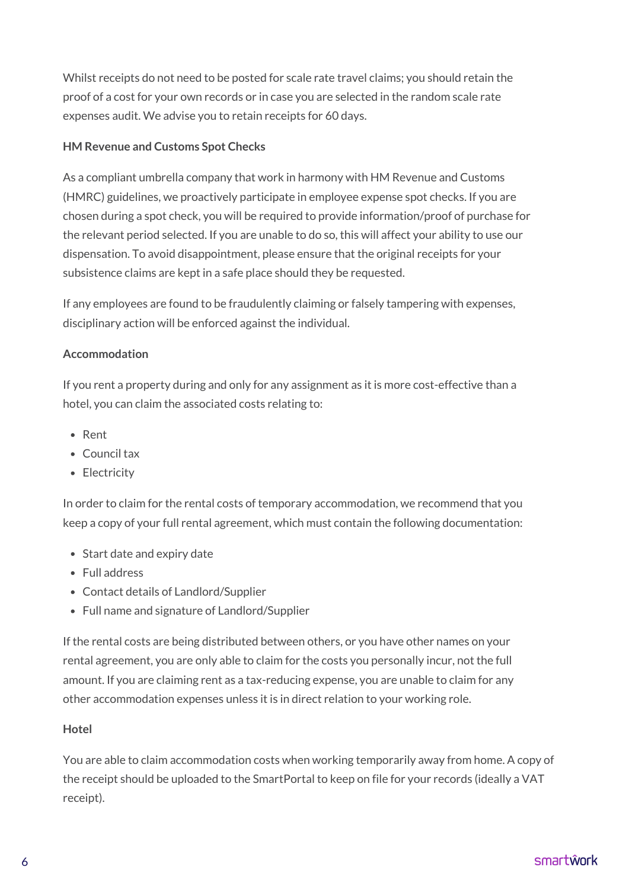Whilst receipts do not need to be posted for scale rate travel claims; you should retain the proof of a cost for your own records or in case you are selected in the random scale rate expenses audit. We advise you to retain receipts for 60 days.

#### **HM Revenue and Customs Spot Checks**

As a compliant umbrella company that work in harmony with HM Revenue and Customs (HMRC) guidelines, we proactively participate in employee expense spot checks. If you are chosen during a spot check, you will be required to provide information/proof of purchase for the relevant period selected. If you are unable to do so, this will affect your ability to use our dispensation. To avoid disappointment, please ensure that the original receipts for your subsistence claims are kept in a safe place should they be requested.

If any employees are found to be fraudulently claiming or falsely tampering with expenses, disciplinary action will be enforced against the individual.

#### **Accommodation**

If you rent a property during and only for any assignment as it is more cost-effective than a hotel, you can claim the associated costs relating to:

- Rent
- Council tax
- Electricity

In order to claim for the rental costs of temporary accommodation, we recommend that you keep a copy of your full rental agreement, which must contain the following documentation:

- Start date and expiry date
- Full address
- Contact details of Landlord/Supplier
- Full name and signature of Landlord/Supplier

If the rental costs are being distributed between others, or you have other names on your rental agreement, you are only able to claim for the costs you personally incur, not the full amount. If you are claiming rent as a tax-reducing expense, you are unable to claim for any other accommodation expenses unless it is in direct relation to your working role.

#### **Hotel**

You are able to claim accommodation costs when working temporarily away from home. A copy of the receipt should be uploaded to the SmartPortal to keep on file for your records (ideally a VAT receipt).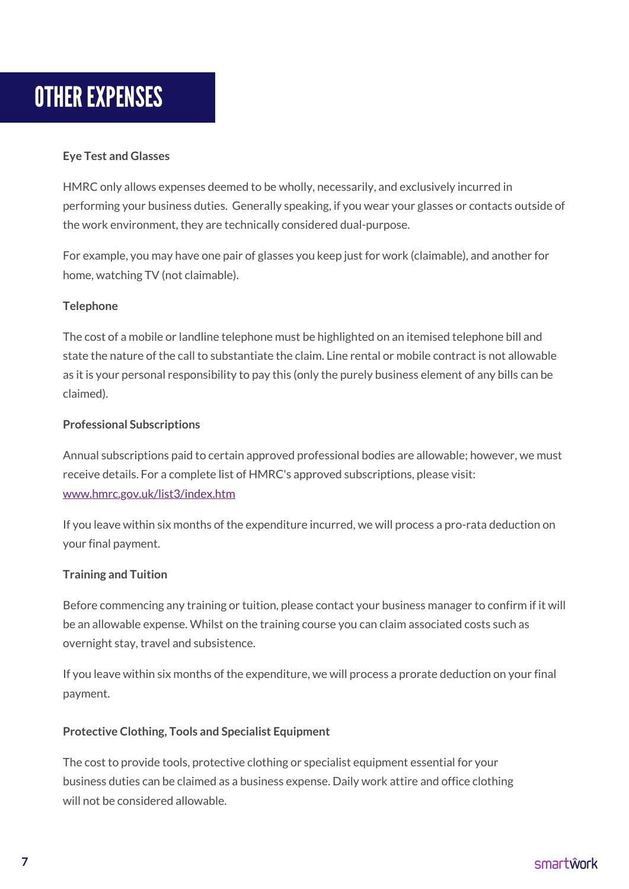### **OTHER EXPENSES**

#### **Eye Test and Glasses**

HMRC only allows expenses deemed to be wholly, necessarily, and exclusively incurred in performing your business duties. Generally speaking, if you wear your glasses or contacts outside of the work environment, they are technically considered dual-purpose.

For example, you may have one pair of glasses you keep just for work (claimable), and another for home, watching TV (not claimable).

#### **Telephone**

The cost of a mobile or landline telephone must be highlighted on an itemised telephone bill and state the nature of the call to substantiate the claim. Line rental or mobile contract is not allowable as it is your personal responsibility to pay this (only the purely business element of any bills can be claimed).

#### **Professional Subscriptions**

Annual subscriptions paid to certain approved professional bodies are allowable; however, we must receive details. For a complete list of HMRC's approved subscriptions, please visit: [www.hmrc.gov.uk/list3/index.htm](http://www.hmrc.gov.uk/list3/index.htm)

If you leave within six months of the expenditure incurred, we will process a pro-rata deduction on your final payment.

#### **Training and Tuition**

Before commencing any training or tuition, please contact your business manager to confirm if it will be an allowable expense. Whilst on the training course you can claim associated costs such as overnight stay, travel and subsistence.

If you leave within six months of the expenditure, we will process a prorate deduction on your final payment.

#### **Protective Clothing, Tools and Specialist Equipment**

The cost to provide tools, protective clothing or specialist equipment essential for your business duties can be claimed as a business expense. Daily work attire and office clothing will not be considered allowable.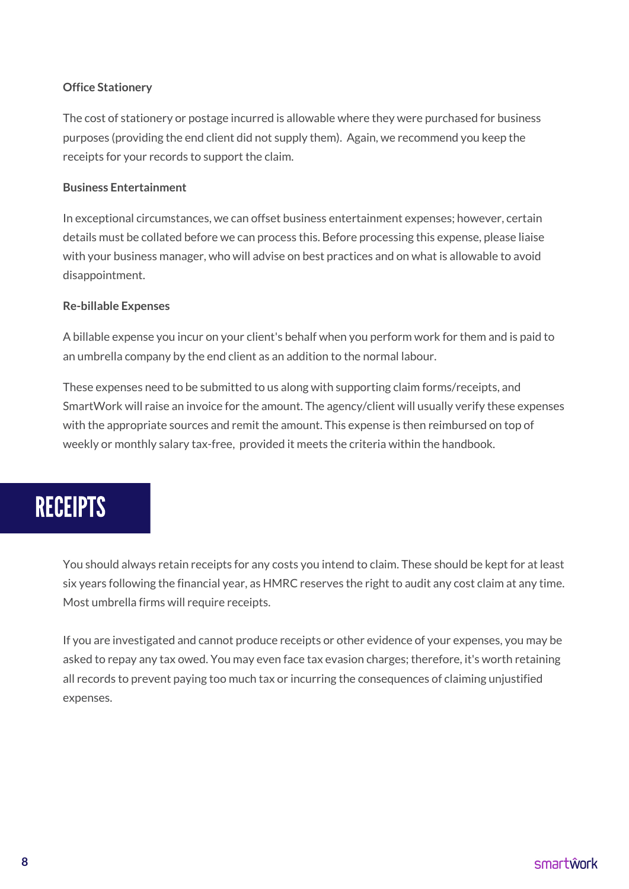#### **Office Stationery**

The cost of stationery or postage incurred is allowable where they were purchased for business purposes (providing the end client did not supply them). Again, we recommend you keep the receipts for your records to support the claim.

#### **Business Entertainment**

In exceptional circumstances, we can offset business entertainment expenses; however, certain details must be collated before we can process this. Before processing this expense, please liaise with your business manager, who will advise on best practices and on what is allowable to avoid disappointment.

#### **Re-billable Expenses**

A billable expense you incur on your client's behalf when you perform work for them and is paid to an umbrella company by the end client as an addition to the normal labour.

These expenses need to be submitted to us along with supporting claim forms/receipts, and SmartWork will raise an invoice for the amount. The agency/client will usually verify these expenses with the appropriate sources and remit the amount. This expense is then reimbursed on top of weekly or monthly salary tax-free, provided it meets the criteria within the handbook.

### **RECEIPTS**

You should always retain receipts for any costs you intend to claim. These should be kept for at least six years following the financial year, as HMRC reserves the right to audit any cost claim at any time. Most umbrella firms will require receipts.

If you are investigated and cannot produce receipts or other evidence of your expenses, you may be asked to repay any tax owed. You may even face tax evasion charges; therefore, it's worth retaining all records to prevent paying too much tax or incurring the consequences of claiming unjustified expenses.